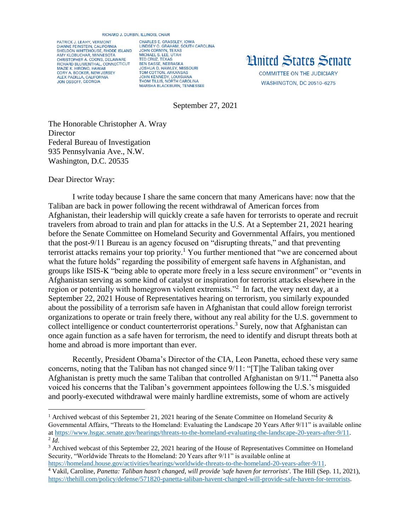## RICHARD J. DURBIN, ILLINOIS, CHAIR

PATRICK J. LEAHY, VERMONT DIANNE FEINSTEIN, CALIFORNIA<br>SHELDON WHITEHOUSE, RHODE ISLAND AMY KLOBUCHAR, MINNESOTA<br>CHRISTOPHER A. COONS, DELAWARE RICHARD BLUMENTHAL, CONNECTICUT **MAZIE K. HIRONO, HAWAII** CORY A. BOOKER, NEW JERSEY<br>ALEX PADILLA, CALIFORNIA JON OSSOFF, GEORGIA

**CHARLES E. GRASSLEY, IOWA** LINDSEY O. GRAHAM, SOUTH CAROLINA<br>JOHN CORNYN, TEXAS MICHAEL S. LEE, UTAH<br>TED CRUZ, TEXAS **BEN SASSE, NEBRASKA<br>JOSHUA D. HAWLEY, MISSOURI** TOM COTTON, ARKANSAS<br>JOHN KENNEDY, LOUISIANA **THOM TILLIS, NORTH CAROLINA** MARSHA BLACKBURN, TENNESSEE

## **Hnited States Senate**

**COMMITTEE ON THE JUDICIARY WASHINGTON, DC 20510-6275** 

September 27, 2021

The Honorable Christopher A. Wray **Director** Federal Bureau of Investigation 935 Pennsylvania Ave., N.W. Washington, D.C. 20535

Dear Director Wray:

 $\overline{a}$ 

I write today because I share the same concern that many Americans have: now that the Taliban are back in power following the recent withdrawal of American forces from Afghanistan, their leadership will quickly create a safe haven for terrorists to operate and recruit travelers from abroad to train and plan for attacks in the U.S. At a September 21, 2021 hearing before the Senate Committee on Homeland Security and Governmental Affairs, you mentioned that the post-9/11 Bureau is an agency focused on "disrupting threats," and that preventing terrorist attacks remains your top priority.<sup>1</sup> You further mentioned that "we are concerned about what the future holds" regarding the possibility of emergent safe havens in Afghanistan, and groups like ISIS-K "being able to operate more freely in a less secure environment" or "events in Afghanistan serving as some kind of catalyst or inspiration for terrorist attacks elsewhere in the region or potentially with homegrown violent extremists."<sup>2</sup> In fact, the very next day, at a September 22, 2021 House of Representatives hearing on terrorism, you similarly expounded about the possibility of a terrorism safe haven in Afghanistan that could allow foreign terrorist organizations to operate or train freely there, without any real ability for the U.S. government to collect intelligence or conduct counterterrorist operations. <sup>3</sup> Surely, now that Afghanistan can once again function as a safe haven for terrorism, the need to identify and disrupt threats both at home and abroad is more important than ever.

Recently, President Obama's Director of the CIA, Leon Panetta, echoed these very same concerns, noting that the Taliban has not changed since 9/11: "[T]he Taliban taking over Afghanistan is pretty much the same Taliban that controlled Afghanistan on 9/11."<sup>4</sup> Panetta also voiced his concerns that the Taliban's government appointees following the U.S.'s misguided and poorly-executed withdrawal were mainly hardline extremists, some of whom are actively

<sup>&</sup>lt;sup>1</sup> Archived webcast of this September 21, 2021 hearing of the Senate Committee on Homeland Security  $\&$ Governmental Affairs, "Threats to the Homeland: Evaluating the Landscape 20 Years After 9/11" is available online a[t https://www.hsgac.senate.gov/hearings/threats-to-the-homeland-evaluating-the-landscape-20-years-after-9/11.](https://www.hsgac.senate.gov/hearings/threats-to-the-homeland-evaluating-the-landscape-20-years-after-9/11)  $^2$  *Id.* 

<sup>&</sup>lt;sup>3</sup> Archived webcast of this September 22, 2021 hearing of the House of Representatives Committee on Homeland Security, "Worldwide Threats to the Homeland: 20 Years after 9/11" is available online at [https://homeland.house.gov/activities/hearings/worldwide-threats-to-the-homeland-20-years-after-9/11.](https://homeland.house.gov/activities/hearings/worldwide-threats-to-the-homeland-20-years-after-9/11)

<sup>4</sup> Vakil, Caroline, *Panetta: Taliban hasn't changed, will provide 'safe haven for terrorists'*. The Hill (Sep. 11, 2021), [https://thehill.com/policy/defense/571820-panetta-taliban-havent-changed-will-provide-safe-haven-for-terrorists.](https://thehill.com/policy/defense/571820-panetta-taliban-havent-changed-will-provide-safe-haven-for-terrorists)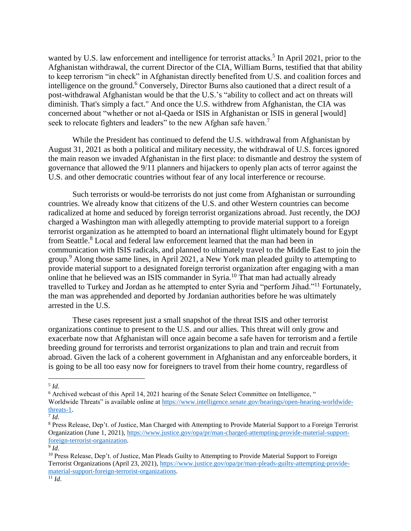wanted by U.S. law enforcement and intelligence for terrorist attacks.<sup>5</sup> In April 2021, prior to the Afghanistan withdrawal, the current Director of the CIA, William Burns, testified that that ability to keep terrorism "in check" in Afghanistan directly benefited from U.S. and coalition forces and intelligence on the ground.<sup>6</sup> Conversely, Director Burns also cautioned that a direct result of a post-withdrawal Afghanistan would be that the U.S.'s "ability to collect and act on threats will diminish. That's simply a fact." And once the U.S. withdrew from Afghanistan, the CIA was concerned about "whether or not al-Qaeda or ISIS in Afghanistan or ISIS in general [would] seek to relocate fighters and leaders" to the new Afghan safe haven.<sup>7</sup>

While the President has continued to defend the U.S. withdrawal from Afghanistan by August 31, 2021 as both a political and military necessity, the withdrawal of U.S. forces ignored the main reason we invaded Afghanistan in the first place: to dismantle and destroy the system of governance that allowed the 9/11 planners and hijackers to openly plan acts of terror against the U.S. and other democratic countries without fear of any local interference or recourse.

Such terrorists or would-be terrorists do not just come from Afghanistan or surrounding countries. We already know that citizens of the U.S. and other Western countries can become radicalized at home and seduced by foreign terrorist organizations abroad. Just recently, the DOJ charged a Washington man with allegedly attempting to provide material support to a foreign terrorist organization as he attempted to board an international flight ultimately bound for Egypt from Seattle.<sup>8</sup> Local and federal law enforcement learned that the man had been in communication with ISIS radicals, and planned to ultimately travel to the Middle East to join the group.<sup>9</sup> Along those same lines, in April 2021, a New York man pleaded guilty to attempting to provide material support to a designated foreign terrorist organization after engaging with a man online that he believed was an ISIS commander in Syria.<sup>10</sup> That man had actually already travelled to Turkey and Jordan as he attempted to enter Syria and "perform Jihad."<sup>11</sup> Fortunately, the man was apprehended and deported by Jordanian authorities before he was ultimately arrested in the U.S.

These cases represent just a small snapshot of the threat ISIS and other terrorist organizations continue to present to the U.S. and our allies. This threat will only grow and exacerbate now that Afghanistan will once again become a safe haven for terrorism and a fertile breeding ground for terrorists and terrorist organizations to plan and train and recruit from abroad. Given the lack of a coherent government in Afghanistan and any enforceable borders, it is going to be all too easy now for foreigners to travel from their home country, regardless of

 $\overline{a}$ 5 *Id*.

 $6$  Archived webcast of this April 14, 2021 hearing of the Senate Select Committee on Intelligence,  $\cdot$ Worldwide Threats" is available online at [https://www.intelligence.senate.gov/hearings/open-hearing-worldwide](https://www.intelligence.senate.gov/hearings/open-hearing-worldwide-threats-1)[threats-1.](https://www.intelligence.senate.gov/hearings/open-hearing-worldwide-threats-1)

<sup>7</sup> *Id*.

<sup>8</sup> Press Release, Dep't. of Justice, Man Charged with Attempting to Provide Material Support to a Foreign Terrorist Organization (June 1, 2021), [https://www.justice.gov/opa/pr/man-charged-attempting-provide-material-support](https://www.justice.gov/opa/pr/man-charged-attempting-provide-material-support-foreign-terrorist-organization)[foreign-terrorist-organization.](https://www.justice.gov/opa/pr/man-charged-attempting-provide-material-support-foreign-terrorist-organization)

<sup>9</sup> *Id*.

<sup>&</sup>lt;sup>10</sup> Press Release, Dep't. of Justice, Man Pleads Guilty to Attempting to Provide Material Support to Foreign Terrorist Organizations (April 23, 2021), [https://www.justice.gov/opa/pr/man-pleads-guilty-attempting-provide](https://www.justice.gov/opa/pr/man-pleads-guilty-attempting-provide-material-support-foreign-terrorist-organizations)[material-support-foreign-terrorist-organizations.](https://www.justice.gov/opa/pr/man-pleads-guilty-attempting-provide-material-support-foreign-terrorist-organizations)